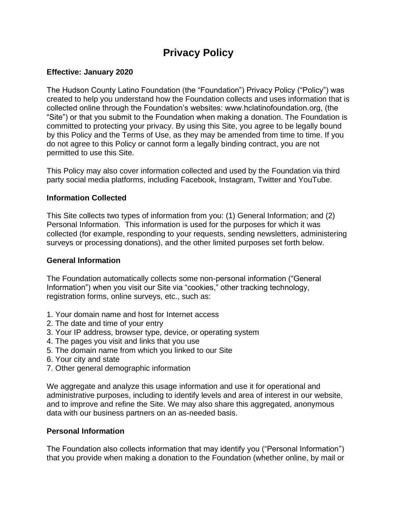# **Privacy Policy**

## **Effective: January 2020**

The Hudson County Latino Foundation (the "Foundation") Privacy Policy ("Policy") was created to help you understand how the Foundation collects and uses information that is collected online through the Foundation's websites: www.hclatinofoundation.org, (the "Site") or that you submit to the Foundation when making a donation. The Foundation is committed to protecting your privacy. By using this Site, you agree to be legally bound by this Policy and the Terms of Use, as they may be amended from time to time. If you do not agree to this Policy or cannot form a legally binding contract, you are not permitted to use this Site.

This Policy may also cover information collected and used by the Foundation via third party social media platforms, including Facebook, Instagram, Twitter and YouTube.

#### **Information Collected**

This Site collects two types of information from you: (1) General Information; and (2) Personal Information. This information is used for the purposes for which it was collected (for example, responding to your requests, sending newsletters, administering surveys or processing donations), and the other limited purposes set forth below.

## **General Information**

The Foundation automatically collects some non-personal information ("General Information") when you visit our Site via "cookies," other tracking technology, registration forms, online surveys, etc., such as:

- 1. Your domain name and host for Internet access
- 2. The date and time of your entry
- 3. Your IP address, browser type, device, or operating system
- 4. The pages you visit and links that you use
- 5. The domain name from which you linked to our Site
- 6. Your city and state
- 7. Other general demographic information

We aggregate and analyze this usage information and use it for operational and administrative purposes, including to identify levels and area of interest in our website, and to improve and refine the Site. We may also share this aggregated, anonymous data with our business partners on an as-needed basis.

#### **Personal Information**

The Foundation also collects information that may identify you ("Personal Information") that you provide when making a donation to the Foundation (whether online, by mail or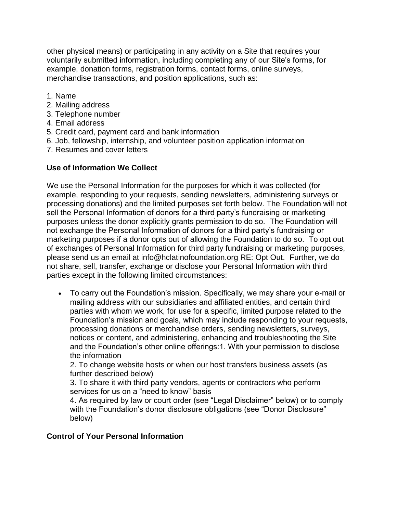other physical means) or participating in any activity on a Site that requires your voluntarily submitted information, including completing any of our Site's forms, for example, donation forms, registration forms, contact forms, online surveys, merchandise transactions, and position applications, such as:

- 1. Name
- 2. Mailing address
- 3. Telephone number
- 4. Email address
- 5. Credit card, payment card and bank information
- 6. Job, fellowship, internship, and volunteer position application information
- 7. Resumes and cover letters

## **Use of Information We Collect**

We use the Personal Information for the purposes for which it was collected (for example, responding to your requests, sending newsletters, administering surveys or processing donations) and the limited purposes set forth below. The Foundation will not sell the Personal Information of donors for a third party's fundraising or marketing purposes unless the donor explicitly grants permission to do so. The Foundation will not exchange the Personal Information of donors for a third party's fundraising or marketing purposes if a donor opts out of allowing the Foundation to do so. To opt out of exchanges of Personal Information for third party fundraising or marketing purposes, please send us an email at info@hclatinofoundation.org RE: Opt Out. Further, we do not share, sell, transfer, exchange or disclose your Personal Information with third parties except in the following limited circumstances:

• To carry out the Foundation's mission. Specifically, we may share your e-mail or mailing address with our subsidiaries and affiliated entities, and certain third parties with whom we work, for use for a specific, limited purpose related to the Foundation's mission and goals, which may include responding to your requests, processing donations or merchandise orders, sending newsletters, surveys, notices or content, and administering, enhancing and troubleshooting the Site and the Foundation's other online offerings:1. With your permission to disclose the information

2. To change website hosts or when our host transfers business assets (as further described below)

3. To share it with third party vendors, agents or contractors who perform services for us on a "need to know" basis

4. As required by law or court order (see "Legal Disclaimer" below) or to comply with the Foundation's donor disclosure obligations (see "Donor Disclosure" below)

#### **Control of Your Personal Information**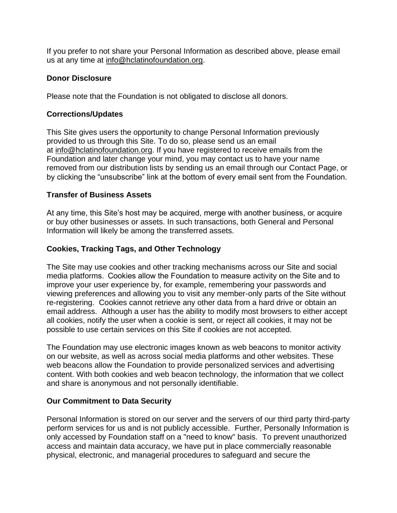If you prefer to not share your Personal Information as described above, please email us at any time at [info@hclatinofoundation.org.](mailto:info@hclatinofoundation.org)

## **Donor Disclosure**

Please note that the Foundation is not obligated to disclose all donors.

## **Corrections/Updates**

This Site gives users the opportunity to change Personal Information previously provided to us through this Site. To do so, please send us an email at [info@hclatinofoundation.org.](mailto:info@hclatinofoundation.org) If you have registered to receive emails from the Foundation and later change your mind, you may contact us to have your name removed from our distribution lists by sending us an email through our Contact Page, or by clicking the "unsubscribe" link at the bottom of every email sent from the Foundation.

# **Transfer of Business Assets**

At any time, this Site's host may be acquired, merge with another business, or acquire or buy other businesses or assets. In such transactions, both General and Personal Information will likely be among the transferred assets.

## **Cookies, Tracking Tags, and Other Technology**

The Site may use cookies and other tracking mechanisms across our Site and social media platforms.  Cookies allow the Foundation to measure activity on the Site and to improve your user experience by, for example, remembering your passwords and viewing preferences and allowing you to visit any member-only parts of the Site without re-registering. Cookies cannot retrieve any other data from a hard drive or obtain an email address. Although a user has the ability to modify most browsers to either accept all cookies, notify the user when a cookie is sent, or reject all cookies, it may not be possible to use certain services on this Site if cookies are not accepted.

The Foundation may use electronic images known as web beacons to monitor activity on our website, as well as across social media platforms and other websites. These web beacons allow the Foundation to provide personalized services and advertising content. With both cookies and web beacon technology, the information that we collect and share is anonymous and not personally identifiable.

#### **Our Commitment to Data Security**

Personal Information is stored on our server and the servers of our third party third-party perform services for us and is not publicly accessible. Further, Personally Information is only accessed by Foundation staff on a "need to know" basis. To prevent unauthorized access and maintain data accuracy, we have put in place commercially reasonable physical, electronic, and managerial procedures to safeguard and secure the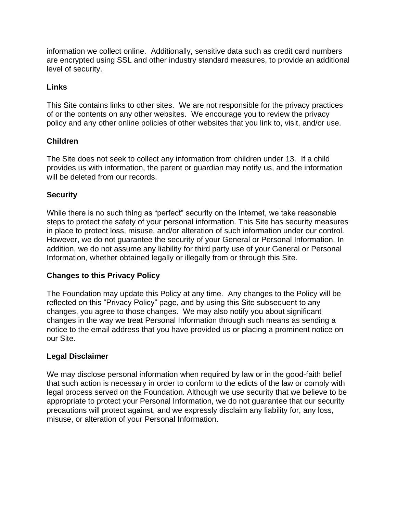information we collect online. Additionally, sensitive data such as credit card numbers are encrypted using SSL and other industry standard measures, to provide an additional level of security.

## **Links**

This Site contains links to other sites. We are not responsible for the privacy practices of or the contents on any other websites. We encourage you to review the privacy policy and any other online policies of other websites that you link to, visit, and/or use.

## **Children**

The Site does not seek to collect any information from children under 13. If a child provides us with information, the parent or guardian may notify us, and the information will be deleted from our records.

## **Security**

While there is no such thing as "perfect" security on the Internet, we take reasonable steps to protect the safety of your personal information. This Site has security measures in place to protect loss, misuse, and/or alteration of such information under our control. However, we do not guarantee the security of your General or Personal Information. In addition, we do not assume any liability for third party use of your General or Personal Information, whether obtained legally or illegally from or through this Site.

# **Changes to this Privacy Policy**

The Foundation may update this Policy at any time. Any changes to the Policy will be reflected on this "Privacy Policy" page, and by using this Site subsequent to any changes, you agree to those changes. We may also notify you about significant changes in the way we treat Personal Information through such means as sending a notice to the email address that you have provided us or placing a prominent notice on our Site.

#### **Legal Disclaimer**

We may disclose personal information when required by law or in the good-faith belief that such action is necessary in order to conform to the edicts of the law or comply with legal process served on the Foundation. Although we use security that we believe to be appropriate to protect your Personal Information, we do not guarantee that our security precautions will protect against, and we expressly disclaim any liability for, any loss, misuse, or alteration of your Personal Information.